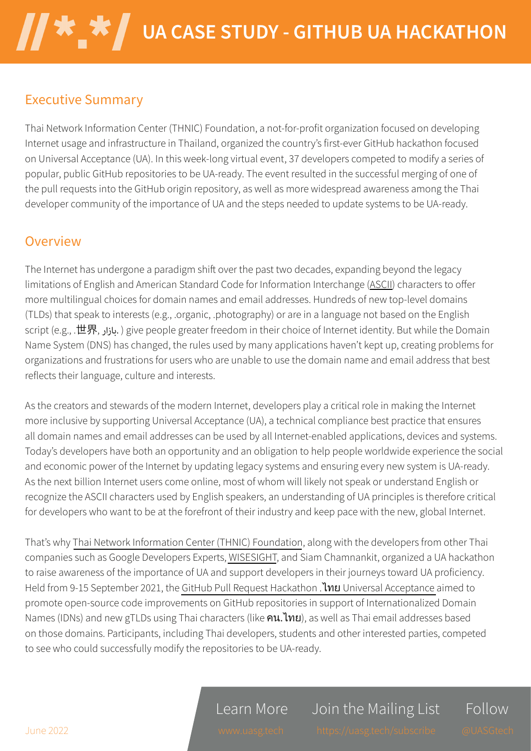#### **Executive Summary**

Thai Network Information Center (THNIC) Foundation, a not-for-profit organization focused on developing Internet usage and infrastructure in Thailand, organized the country's first-ever GitHub hackathon focused on Universal Acceptance (UA). In this week-long virtual event, 37 developers competed to modify a series of popular, public GitHub repositories to be UA-ready. The event resulted in the successful merging of one of the pull requests into the GitHub origin repository, as well as more widespread awareness among the Thai developer community of the importance of UA and the steps needed to update systems to be UA-ready.

#### Overview

The Internet has undergone a paradigm shift over the past two decades, expanding beyond the legacy limitations of English and American Standard Code for Information Interchange (ASCII) characters to offer more multilingual choices for domain names and email addresses. Hundreds of new top-level domains (TLDs) that speak to interests (e.g., .organic, .photography) or are in a language not based on the English script (e.g., .世界, بازار) give people greater freedom in their choice of Internet identity. But while the Domain Name System (DNS) has changed, the rules used by many applications haven't kept up, creating problems for organizations and frustrations for users who are unable to use the domain name and email address that best reflects their language, culture and interests.

As the creators and stewards of the modern Internet, developers play a critical role in making the Internet more inclusive by supporting Universal Acceptance (UA), a technical compliance best practice that ensures all domain names and email addresses can be used by all Internet-enabled applications, devices and systems. Today's developers have both an opportunity and an obligation to help people worldwide experience the social and economic power of the Internet by updating legacy systems and ensuring every new system is UA-ready. As the next billion Internet users come online, most of whom will likely not speak or understand English or recognize the ASCII characters used by English speakers, an understanding of UA principles is therefore critical for developers who want to be at the forefront of their industry and keep pace with the new, global Internet.

That's why Thai Network Information Center (THNIC) Foundation, along with the developers from other Thai companies such as Google Developers Experts, WISESIGHT, and Siam Chamnankit, organized a UA hackathon to raise awareness of the importance of UA and support developers in their journeys toward UA proficiency. Held from 9-15 September 2021, the GitHub Pull Request Hackathon . Inu Universal Acceptance aimed to promote open-source code improvements on GitHub repositories in support of Internationalized Domain Names (IDNs) and new gTLDs using Thai characters (like คน. ไทย), as well as Thai email addresses based on those domains. Participants, including Thai developers, students and other interested parties, competed to see who could successfully modify the repositories to be UA-ready.

Learn More

Join the Mailing List

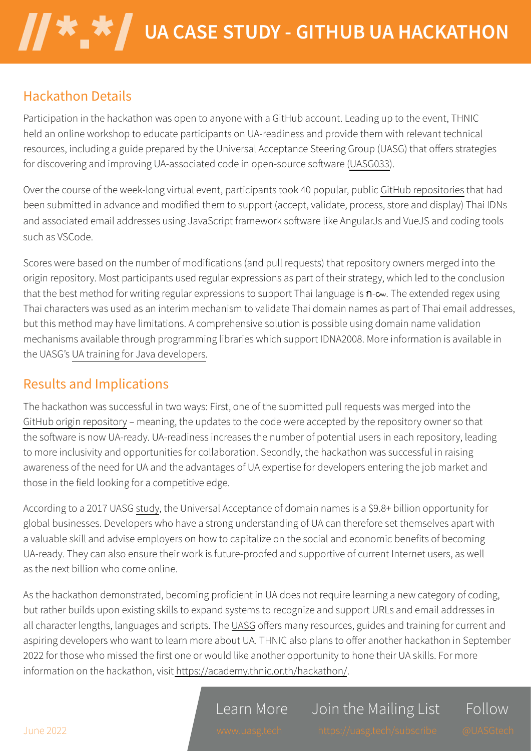## **Hackathon Details**

Participation in the hackathon was open to anyone with a GitHub account. Leading up to the event, THNIC held an online workshop to educate participants on UA-readiness and provide them with relevant technical resources, including a guide prepared by the Universal Acceptance Steering Group (UASG) that offers strategies for discovering and improving UA-associated code in open-source software (UASG033).

Over the course of the week-long virtual event, participants took 40 popular, public GitHub repositories that had been submitted in advance and modified them to support (accept, validate, process, store and display) Thai IDNs and associated email addresses using JavaScript framework software like AngularJs and VueJS and coding tools such as VSCode.

Scores were based on the number of modifications (and pull requests) that repository owners merged into the origin repository. Most participants used regular expressions as part of their strategy, which led to the conclusion that the best method for writing regular expressions to support Thai language is  $n$ - $\infty$ . The extended regex using Thai characters was used as an interim mechanism to validate Thai domain names as part of Thai email addresses, but this method may have limitations. A comprehensive solution is possible using domain name validation mechanisms available through programming libraries which support IDNA2008. More information is available in the UASG's UA training for Java developers.

# **Results and Implications**

The hackathon was successful in two ways: First, one of the submitted pull requests was merged into the GitHub origin repository - meaning, the updates to the code were accepted by the repository owner so that the software is now UA-ready. UA-readiness increases the number of potential users in each repository, leading to more inclusivity and opportunities for collaboration. Secondly, the hackathon was successful in raising awareness of the need for UA and the advantages of UA expertise for developers entering the job market and those in the field looking for a competitive edge.

According to a 2017 UASG study, the Universal Acceptance of domain names is a \$9.8+ billion opportunity for global businesses. Developers who have a strong understanding of UA can therefore set themselves apart with a valuable skill and advise employers on how to capitalize on the social and economic benefits of becoming UA-ready. They can also ensure their work is future-proofed and supportive of current Internet users, as well as the next billion who come online.

As the hackathon demonstrated, becoming proficient in UA does not require learning a new category of coding, but rather builds upon existing skills to expand systems to recognize and support URLs and email addresses in all character lengths, languages and scripts. The UASG offers many resources, guides and training for current and aspiring developers who want to learn more about UA. THNIC also plans to offer another hackathon in September 2022 for those who missed the first one or would like another opportunity to hone their UA skills. For more information on the hackathon, visit https://academy.thnic.or.th/hackathon/.

Learn More

Join the Mailing List